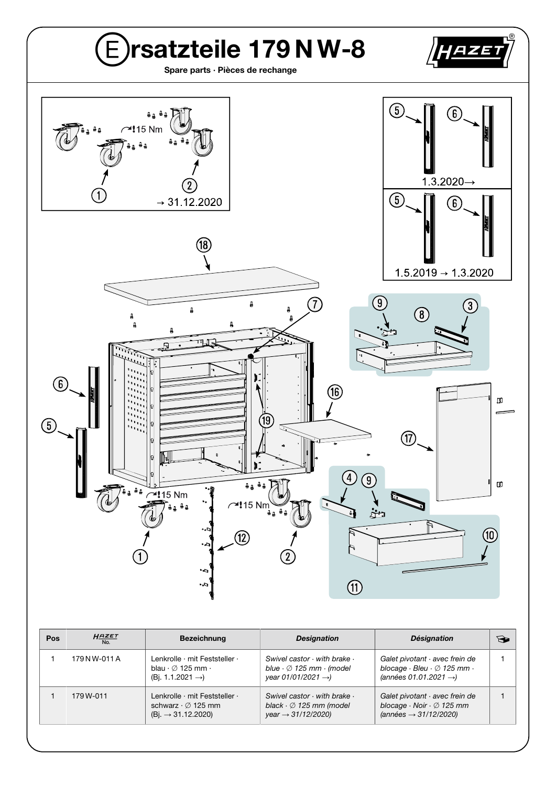

| <b>Pos</b> | $H_{\frac{N_{0}}{N_{0}}}$ | <b>Bezeichnung</b>                                                                                       | <b>Designation</b>                                                                                                        | <b>Désignation</b>                                                                                                                | $\bigoplus$ |
|------------|---------------------------|----------------------------------------------------------------------------------------------------------|---------------------------------------------------------------------------------------------------------------------------|-----------------------------------------------------------------------------------------------------------------------------------|-------------|
|            | 179 N W-011 A             | Lenkrolle · mit Feststeller ·<br>blau $\cdot \varnothing$ 125 mm $\cdot$<br>$(Bi. 1.1.2021 \rightarrow)$ | Swivel castor $\cdot$ with brake $\cdot$<br>blue $\cdot \oslash 125$ mm $\cdot$ (model<br>year 01/01/2021 $\rightarrow$ ) | Galet pivotant · avec frein de<br>blocage $\cdot$ Bleu $\cdot$ $\varnothing$ 125 mm $\cdot$<br>(années 01.01.2021 $\rightarrow$ ) |             |
|            | 179 W-011                 | Lenkrolle · mit Feststeller ·<br>schwarz $\cdot \varnothing$ 125 mm<br>$(Bi. \rightarrow 31.12.2020)$    | Swivel castor $\cdot$ with brake $\cdot$<br>black $\cdot \varnothing$ 125 mm (model<br>$year \rightarrow 31/12/2020$      | Galet pivotant · avec frein de<br>blocage $\cdot$ Noir $\cdot$ $\varnothing$ 125 mm<br>$(années \rightarrow 31/12/2020)$          |             |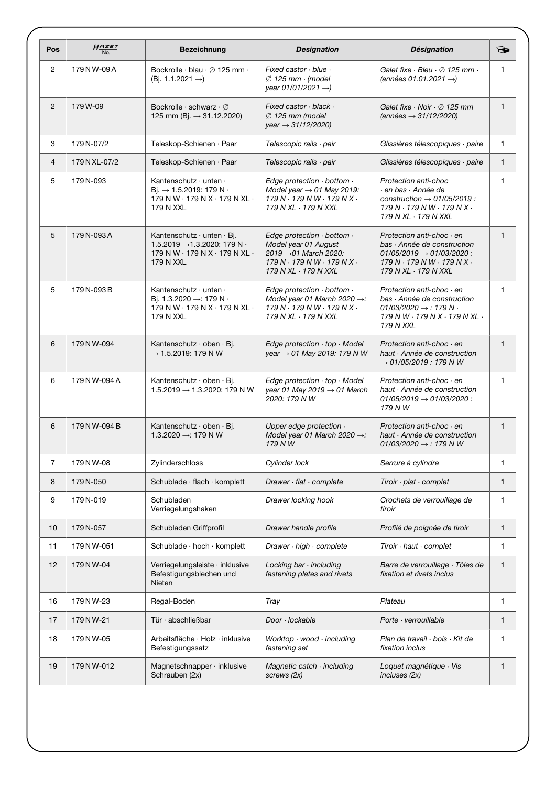| Pos            | $H$ <sub>No.</sub> | <b>Bezeichnung</b>                                                                                                                                  | <b>Designation</b>                                                                                                                                       | <b>Désignation</b>                                                                                                                                                       | $\bigodot$   |
|----------------|--------------------|-----------------------------------------------------------------------------------------------------------------------------------------------------|----------------------------------------------------------------------------------------------------------------------------------------------------------|--------------------------------------------------------------------------------------------------------------------------------------------------------------------------|--------------|
| $\overline{c}$ | 179 N W-09 A       | Bockrolle $\cdot$ blau $\cdot$ $\varnothing$ 125 mm $\cdot$<br>(Bj. 1.1.2021 $\rightarrow$ )                                                        | Fixed castor $\cdot$ blue $\cdot$<br>$\varnothing$ 125 mm $\cdot$ (model<br>year 01/01/2021 $\rightarrow$                                                | Galet fixe $\cdot$ Bleu $\cdot$ $\oslash$ 125 mm $\cdot$<br>(années 01.01.2021 $\rightarrow$ )                                                                           | 1            |
| 2              | 179W-09            | Bockrolle $\cdot$ schwarz $\cdot \varnothing$<br>125 mm (Bj. $\rightarrow$ 31.12.2020)                                                              | Fixed castor $\cdot$ black $\cdot$<br>$\varnothing$ 125 mm (model<br>$year \rightarrow 31/12/2020$                                                       | Galet fixe $\cdot$ Noir $\cdot$ $\varnothing$ 125 mm<br>$(années \rightarrow 31/12/2020)$                                                                                | $\mathbf{1}$ |
| 3              | 179 N-07/2         | Teleskop-Schienen · Paar                                                                                                                            | Telescopic rails · pair                                                                                                                                  | Glissières télescopiques · paire                                                                                                                                         | 1            |
| $\overline{4}$ | 179 N XL-07/2      | Teleskop-Schienen · Paar                                                                                                                            | Telescopic rails · pair                                                                                                                                  | Glissières télescopiques · paire                                                                                                                                         | $\mathbf{1}$ |
| 5              | 179N-093           | Kantenschutz $\cdot$ unten $\cdot$<br>$Bi. \rightarrow 1.5.2019: 179 N.$<br>179 N W · 179 N X · 179 N XL ·<br>179 N XXL                             | Edge protection $\cdot$ bottom $\cdot$<br>Model year $\rightarrow$ 01 May 2019:<br>$179 N \cdot 179 N W \cdot 179 N X$ .<br>179 N XL · 179 N XXL         | Protection anti-choc<br>· en bas · Année de<br>construction $\rightarrow$ 01/05/2019 :<br>$179 N \cdot 179 N W \cdot 179 N X$ .<br>179 N XL · 179 N XXL                  | $\mathbf{1}$ |
| 5              | 179 N-093 A        | Kantenschutz $\cdot$ unten $\cdot$ Bj.<br>1.5.2019 $\rightarrow$ 1.3.2020: 179 N ·<br>179 N W $\cdot$ 179 N X $\cdot$ 179 N XL $\cdot$<br>179 N XXL | Edge protection $\cdot$ bottom $\cdot$<br>Model year 01 August<br>2019 → 01 March 2020:<br>$179 N \cdot 179 N W \cdot 179 N X$ .<br>179 N XL · 179 N XXL | Protection anti-choc $\cdot$ en<br>bas · Année de construction<br>$01/05/2019 \rightarrow 01/03/2020$ :<br>$179 N \cdot 179 N W \cdot 179 N X$ .<br>179 N XL · 179 N XXL | $\mathbf{1}$ |
| 5              | 179 N-093 B        | Kantenschutz · unten ·<br>Bi. 1.3.2020 →: 179 N ·<br>179 N W $\cdot$ 179 N X $\cdot$ 179 N XL $\cdot$<br>179 N XXL                                  | Edge protection $\cdot$ bottom $\cdot$<br>Model year 01 March 2020 $\rightarrow$ :<br>$179 N \cdot 179 N W \cdot 179 N X$ .<br>179 N XL · 179 N XXL      | Protection anti-choc · en<br>bas · Année de construction<br>$01/03/2020 \rightarrow 179 N$ .<br>179 N W · 179 N X · 179 N XL ·<br><b>179 N XXL</b>                       | $\mathbf{1}$ |
| 6              | 179 N W-094        | Kantenschutz · oben · Bj.<br>$\rightarrow$ 1.5.2019: 179 N W                                                                                        | Edge protection · top · Model<br>year $\rightarrow$ 01 May 2019: 179 N W                                                                                 | Protection anti-choc · en<br>haut · Année de construction<br>$\rightarrow$ 01/05/2019 : 179 NW                                                                           | $\mathbf{1}$ |
| 6              | 179 N W-094 A      | Kantenschutz $\cdot$ oben $\cdot$ Bj.<br>1.5.2019 $\rightarrow$ 1.3.2020: 179 N W                                                                   | Edge protection $\cdot$ top $\cdot$ Model<br>year 01 May 2019 $\rightarrow$ 01 March<br>2020: 179 N W                                                    | Protection anti-choc $\cdot$ en<br>haut · Année de construction<br>$01/05/2019 \rightarrow 01/03/2020$ :<br>179 NW                                                       | $\mathbf{1}$ |
| 6              | 179 N W-094 B      | Kantenschutz · oben · Bj.<br>1.3.2020 $\rightarrow$ : 179 N W                                                                                       | Upper edge protection .<br>Model year 01 March 2020 $\rightarrow$ :<br>179 NW                                                                            | Protection anti-choc $\cdot$ en<br>haut · Année de construction<br>01/03/2020 $\rightarrow$ : 179 N W                                                                    | $\mathbf{1}$ |
| $\overline{7}$ | 179 N W-08         | Zylinderschloss                                                                                                                                     | Cylinder lock                                                                                                                                            | Serrure à cylindre                                                                                                                                                       | $\mathbf{1}$ |
| 8              | 179N-050           | Schublade · flach · komplett                                                                                                                        | Drawer · flat · complete                                                                                                                                 | Tiroir $\cdot$ plat $\cdot$ complet                                                                                                                                      | 1            |
| 9              | 179N-019           | Schubladen<br>Verriegelungshaken                                                                                                                    | Drawer locking hook                                                                                                                                      | Crochets de verrouillage de<br>tiroir                                                                                                                                    | 1            |
| 10             | 179N-057           | Schubladen Griffprofil                                                                                                                              | Drawer handle profile                                                                                                                                    | Profilé de poignée de tiroir                                                                                                                                             | $\mathbf{1}$ |
| 11             | 179 N W-051        | Schublade · hoch · komplett                                                                                                                         | Drawer · high · complete                                                                                                                                 | $Tiroir \cdot haut \cdot complete$                                                                                                                                       | 1            |
| 12             | 179 N W-04         | Verriegelungsleiste · inklusive<br>Befestigungsblechen und<br>Nieten                                                                                | Locking bar · including<br>fastening plates and rivets                                                                                                   | Barre de verrouillage · Tôles de<br>fixation et rivets inclus                                                                                                            | $\mathbf{1}$ |
| 16             | 179 N W-23         | Regal-Boden                                                                                                                                         | Tray                                                                                                                                                     | Plateau                                                                                                                                                                  | 1            |
| 17             | 179 N W-21         | Tür · abschließbar                                                                                                                                  | Door · lockable                                                                                                                                          | Porte · verrouillable                                                                                                                                                    | 1            |
| 18             | 179 N W-05         | Arbeitsfläche · Holz · inklusive<br>Befestigungssatz                                                                                                | Worktop $\cdot$ wood $\cdot$ including<br>fastening set                                                                                                  | Plan de travail · bois · Kit de<br>fixation inclus                                                                                                                       | 1            |
| 19             | 179 N W-012        | Magnetschnapper · inklusive<br>Schrauben (2x)                                                                                                       | Magnetic catch · including<br>screws (2x)                                                                                                                | Loquet magnétique · Vis<br>incluses (2x)                                                                                                                                 | 1            |